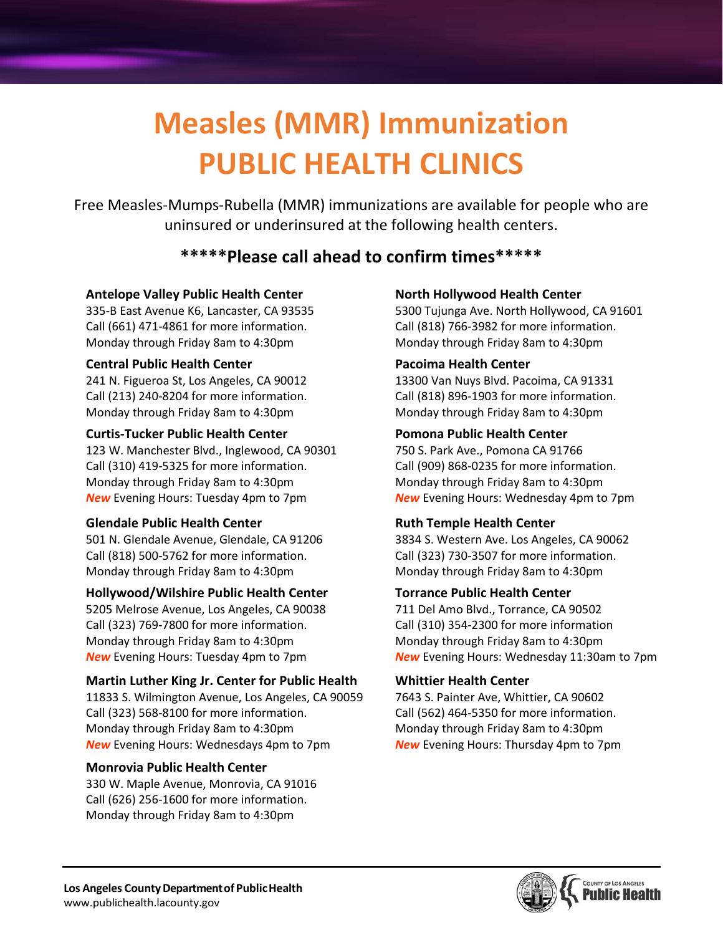# **Measles (MMR) Immunization PUBLIC HEALTH CLINICS**

Free Measles-Mumps-Rubella (MMR) immunizations are available for people who are uninsured or underinsured at the following health centers.

# **\*\*\*\*\*Please call ahead to confirm times\*\*\*\*\***

## **Antelope Valley Public Health Center**

335-B East Avenue K6, Lancaster, CA 93535 Call (661) 471-4861 for more information. Monday through Friday 8am to 4:30pm

# **Central Public Health Center**

241 N. Figueroa St, Los Angeles, CA 90012 Call (213) 240-8204 for more information. Monday through Friday 8am to 4:30pm

## **Curtis-Tucker Public Health Center**

123 W. Manchester Blvd., Inglewood, CA 90301 Call (310) 419-5325 for more information. Monday through Friday 8am to 4:30pm *New* Evening Hours: Tuesday 4pm to 7pm

# **Glendale Public Health Center**

501 N. Glendale Avenue, Glendale, CA 91206 Call (818) 500-5762 for more information. Monday through Friday 8am to 4:30pm

# **Hollywood/Wilshire Public Health Center**

5205 Melrose Avenue, Los Angeles, CA 90038 Call (323) 769-7800 for more information. Monday through Friday 8am to 4:30pm *New* Evening Hours: Tuesday 4pm to 7pm

# **Martin Luther King Jr. Center for Public Health**

11833 S. Wilmington Avenue, Los Angeles, CA 90059 Call (323) 568-8100 for more information. Monday through Friday 8am to 4:30pm *New* Evening Hours: Wednesdays 4pm to 7pm

# **Monrovia Public Health Center**

330 W. Maple Avenue, Monrovia, CA 91016 Call (626) 256-1600 for more information. Monday through Friday 8am to 4:30pm

# **North Hollywood Health Center**

5300 Tujunga Ave. North Hollywood, CA 91601 Call (818) 766-3982 for more information. Monday through Friday 8am to 4:30pm

# **Pacoima Health Center**

13300 Van Nuys Blvd. Pacoima, CA 91331 Call (818) 896-1903 for more information. Monday through Friday 8am to 4:30pm

# **Pomona Public Health Center**

750 S. Park Ave., Pomona CA 91766 Call (909) 868-0235 for more information. Monday through Friday 8am to 4:30pm *New* Evening Hours: Wednesday 4pm to 7pm

# **Ruth Temple Health Center**

3834 S. Western Ave. Los Angeles, CA 90062 Call (323) 730-3507 for more information. Monday through Friday 8am to 4:30pm

# **Torrance Public Health Center**

711 Del Amo Blvd., Torrance, CA 90502 Call (310) 354-2300 for more information Monday through Friday 8am to 4:30pm *New* Evening Hours: Wednesday 11:30am to 7pm

#### **Whittier Health Center**

7643 S. Painter Ave, Whittier, CA 90602 Call (562) 464-5350 for more information. Monday through Friday 8am to 4:30pm *New* Evening Hours: Thursday 4pm to 7pm